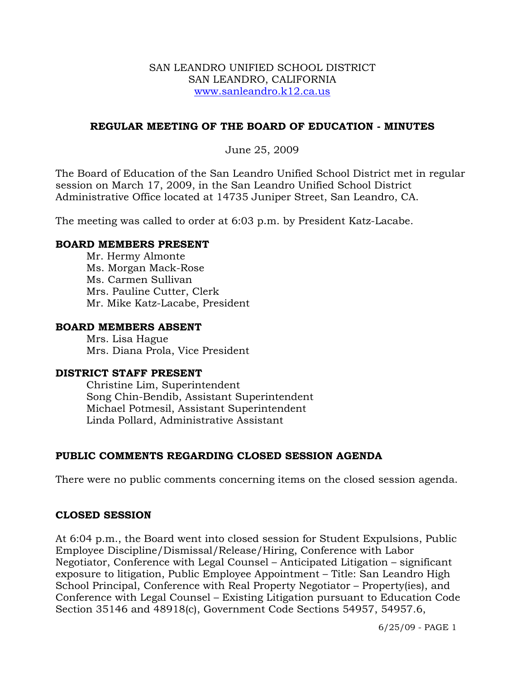#### SAN LEANDRO UNIFIED SCHOOL DISTRICT SAN LEANDRO, CALIFORNIA www.sanleandro.k12.ca.us

## **REGULAR MEETING OF THE BOARD OF EDUCATION - MINUTES**

June 25, 2009

The Board of Education of the San Leandro Unified School District met in regular session on March 17, 2009, in the San Leandro Unified School District Administrative Office located at 14735 Juniper Street, San Leandro, CA.

The meeting was called to order at 6:03 p.m. by President Katz-Lacabe.

#### **BOARD MEMBERS PRESENT**

Mr. Hermy Almonte Ms. Morgan Mack-Rose Ms. Carmen Sullivan Mrs. Pauline Cutter, Clerk Mr. Mike Katz-Lacabe, President

#### **BOARD MEMBERS ABSENT**

Mrs. Lisa Hague Mrs. Diana Prola, Vice President

#### **DISTRICT STAFF PRESENT**

Christine Lim, Superintendent Song Chin-Bendib, Assistant Superintendent Michael Potmesil, Assistant Superintendent Linda Pollard, Administrative Assistant

## **PUBLIC COMMENTS REGARDING CLOSED SESSION AGENDA**

There were no public comments concerning items on the closed session agenda.

#### **CLOSED SESSION**

At 6:04 p.m., the Board went into closed session for Student Expulsions, Public Employee Discipline/Dismissal/Release/Hiring, Conference with Labor Negotiator, Conference with Legal Counsel – Anticipated Litigation – significant exposure to litigation, Public Employee Appointment – Title: San Leandro High School Principal, Conference with Real Property Negotiator – Property(ies), and Conference with Legal Counsel – Existing Litigation pursuant to Education Code Section 35146 and 48918(c), Government Code Sections 54957, 54957.6,

6/25/09 - PAGE 1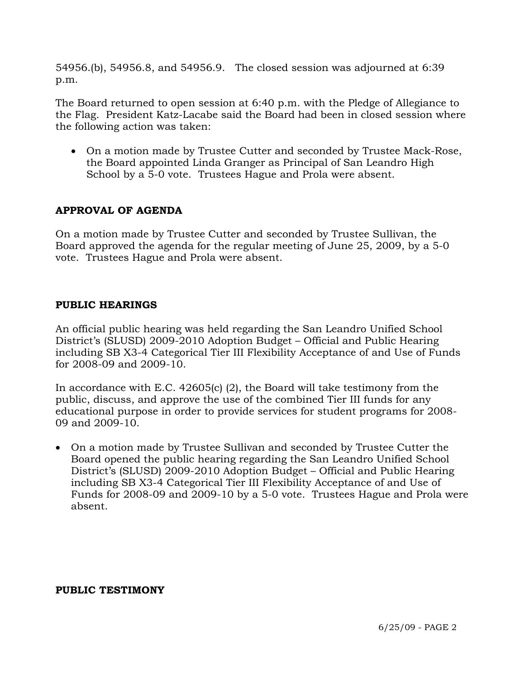54956.(b), 54956.8, and 54956.9. The closed session was adjourned at 6:39 p.m.

The Board returned to open session at 6:40 p.m. with the Pledge of Allegiance to the Flag. President Katz-Lacabe said the Board had been in closed session where the following action was taken:

• On a motion made by Trustee Cutter and seconded by Trustee Mack-Rose, the Board appointed Linda Granger as Principal of San Leandro High School by a 5-0 vote. Trustees Hague and Prola were absent.

# **APPROVAL OF AGENDA**

On a motion made by Trustee Cutter and seconded by Trustee Sullivan, the Board approved the agenda for the regular meeting of June 25, 2009, by a 5-0 vote. Trustees Hague and Prola were absent.

# **PUBLIC HEARINGS**

An official public hearing was held regarding the San Leandro Unified School District's (SLUSD) 2009-2010 Adoption Budget – Official and Public Hearing including SB X3-4 Categorical Tier III Flexibility Acceptance of and Use of Funds for 2008-09 and 2009-10.

In accordance with E.C. 42605(c) (2), the Board will take testimony from the public, discuss, and approve the use of the combined Tier III funds for any educational purpose in order to provide services for student programs for 2008- 09 and 2009-10.

• On a motion made by Trustee Sullivan and seconded by Trustee Cutter the Board opened the public hearing regarding the San Leandro Unified School District's (SLUSD) 2009-2010 Adoption Budget – Official and Public Hearing including SB X3-4 Categorical Tier III Flexibility Acceptance of and Use of Funds for 2008-09 and 2009-10 by a 5-0 vote. Trustees Hague and Prola were absent.

#### **PUBLIC TESTIMONY**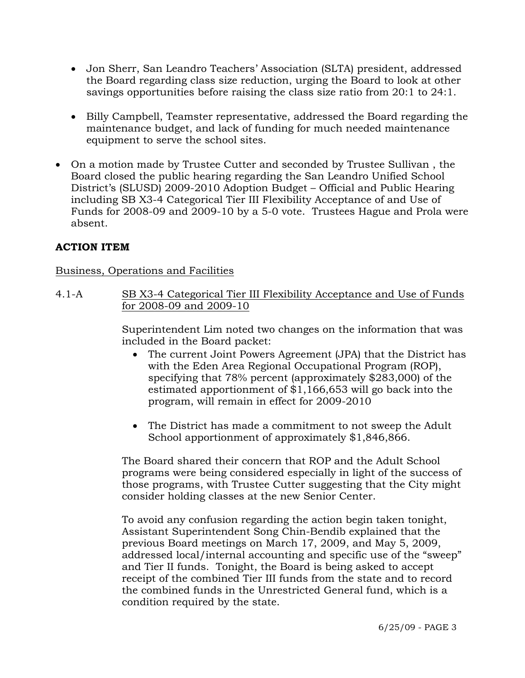- Jon Sherr, San Leandro Teachers' Association (SLTA) president, addressed the Board regarding class size reduction, urging the Board to look at other savings opportunities before raising the class size ratio from 20:1 to 24:1.
- Billy Campbell, Teamster representative, addressed the Board regarding the maintenance budget, and lack of funding for much needed maintenance equipment to serve the school sites.
- On a motion made by Trustee Cutter and seconded by Trustee Sullivan , the Board closed the public hearing regarding the San Leandro Unified School District's (SLUSD) 2009-2010 Adoption Budget – Official and Public Hearing including SB X3-4 Categorical Tier III Flexibility Acceptance of and Use of Funds for 2008-09 and 2009-10 by a 5-0 vote. Trustees Hague and Prola were absent.

# **ACTION ITEM**

# Business, Operations and Facilities

4.1-A SB X3-4 Categorical Tier III Flexibility Acceptance and Use of Funds for 2008-09 and 2009-10

> Superintendent Lim noted two changes on the information that was included in the Board packet:

- The current Joint Powers Agreement (JPA) that the District has with the Eden Area Regional Occupational Program (ROP), specifying that 78% percent (approximately \$283,000) of the estimated apportionment of \$1,166,653 will go back into the program, will remain in effect for 2009-2010
- The District has made a commitment to not sweep the Adult School apportionment of approximately \$1,846,866.

The Board shared their concern that ROP and the Adult School programs were being considered especially in light of the success of those programs, with Trustee Cutter suggesting that the City might consider holding classes at the new Senior Center.

To avoid any confusion regarding the action begin taken tonight, Assistant Superintendent Song Chin-Bendib explained that the previous Board meetings on March 17, 2009, and May 5, 2009, addressed local/internal accounting and specific use of the "sweep" and Tier II funds. Tonight, the Board is being asked to accept receipt of the combined Tier III funds from the state and to record the combined funds in the Unrestricted General fund, which is a condition required by the state.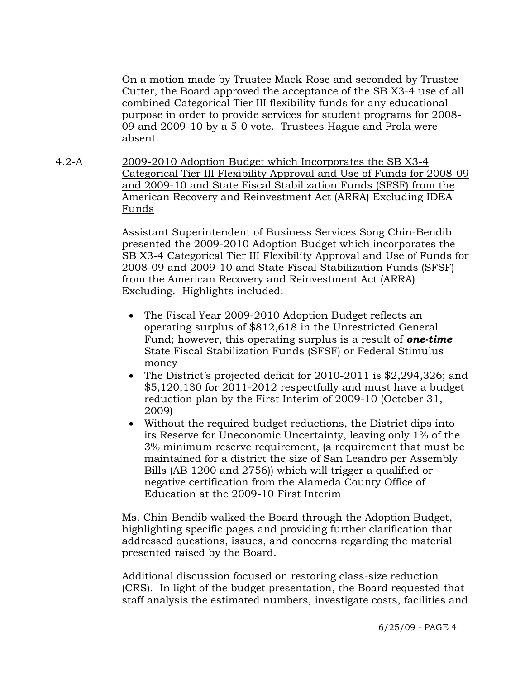On a motion made by Trustee Mack-Rose and seconded by Trustee Cutter, the Board approved the acceptance of the SB X3-4 use of all combined Categorical Tier III flexibility funds for any educational purpose in order to provide services for student programs for 2008- 09 and 2009-10 by a 5-0 vote. Trustees Hague and Prola were absent.

4.2-A 2009-2010 Adoption Budget which Incorporates the SB X3-4 Categorical Tier III Flexibility Approval and Use of Funds for 2008-09 and 2009-10 and State Fiscal Stabilization Funds (SFSF) from the American Recovery and Reinvestment Act (ARRA) Excluding IDEA Funds

> Assistant Superintendent of Business Services Song Chin-Bendib presented the 2009-2010 Adoption Budget which incorporates the SB X3-4 Categorical Tier III Flexibility Approval and Use of Funds for 2008-09 and 2009-10 and State Fiscal Stabilization Funds (SFSF) from the American Recovery and Reinvestment Act (ARRA) Excluding. Highlights included:

- The Fiscal Year 2009-2010 Adoption Budget reflects an operating surplus of \$812,618 in the Unrestricted General Fund; however, this operating surplus is a result of *one-time* State Fiscal Stabilization Funds (SFSF) or Federal Stimulus money
- The District's projected deficit for 2010-2011 is \$2,294,326; and \$5,120,130 for 2011-2012 respectfully and must have a budget reduction plan by the First Interim of 2009-10 (October 31, 2009)
- Without the required budget reductions, the District dips into its Reserve for Uneconomic Uncertainty, leaving only 1% of the 3% minimum reserve requirement, (a requirement that must be maintained for a district the size of San Leandro per Assembly Bills (AB 1200 and 2756)) which will trigger a qualified or negative certification from the Alameda County Office of Education at the 2009-10 First Interim

Ms. Chin-Bendib walked the Board through the Adoption Budget, highlighting specific pages and providing further clarification that addressed questions, issues, and concerns regarding the material presented raised by the Board.

Additional discussion focused on restoring class-size reduction (CRS). In light of the budget presentation, the Board requested that staff analysis the estimated numbers, investigate costs, facilities and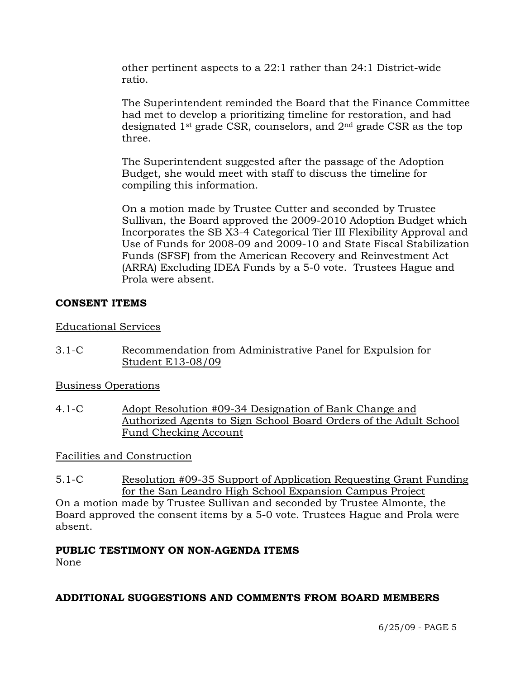other pertinent aspects to a 22:1 rather than 24:1 District-wide ratio.

The Superintendent reminded the Board that the Finance Committee had met to develop a prioritizing timeline for restoration, and had designated 1st grade CSR, counselors, and 2nd grade CSR as the top three.

The Superintendent suggested after the passage of the Adoption Budget, she would meet with staff to discuss the timeline for compiling this information.

On a motion made by Trustee Cutter and seconded by Trustee Sullivan, the Board approved the 2009-2010 Adoption Budget which Incorporates the SB X3-4 Categorical Tier III Flexibility Approval and Use of Funds for 2008-09 and 2009-10 and State Fiscal Stabilization Funds (SFSF) from the American Recovery and Reinvestment Act (ARRA) Excluding IDEA Funds by a 5-0 vote. Trustees Hague and Prola were absent.

## **CONSENT ITEMS**

Educational Services

3.1-C Recommendation from Administrative Panel for Expulsion for Student E13-08/09

Business Operations

4.1-C Adopt Resolution #09-34 Designation of Bank Change and Authorized Agents to Sign School Board Orders of the Adult School Fund Checking Account

Facilities and Construction

5.1-C Resolution #09-35 Support of Application Requesting Grant Funding for the San Leandro High School Expansion Campus Project

On a motion made by Trustee Sullivan and seconded by Trustee Almonte, the Board approved the consent items by a 5-0 vote. Trustees Hague and Prola were absent.

# **PUBLIC TESTIMONY ON NON-AGENDA ITEMS**

None

# **ADDITIONAL SUGGESTIONS AND COMMENTS FROM BOARD MEMBERS**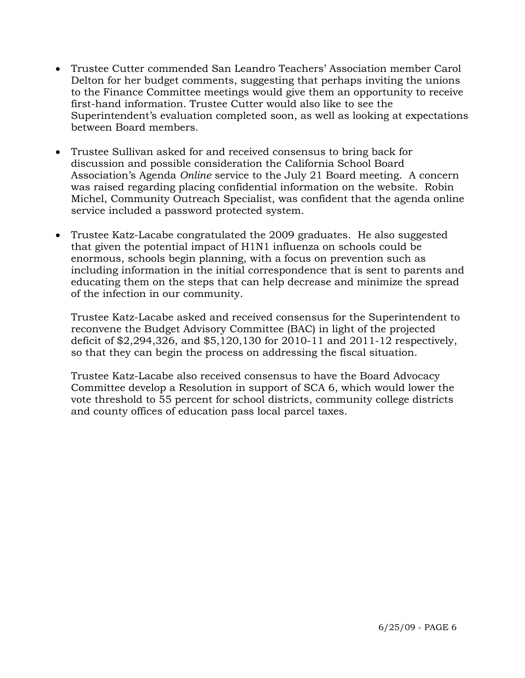- Trustee Cutter commended San Leandro Teachers' Association member Carol Delton for her budget comments, suggesting that perhaps inviting the unions to the Finance Committee meetings would give them an opportunity to receive first-hand information. Trustee Cutter would also like to see the Superintendent's evaluation completed soon, as well as looking at expectations between Board members.
- Trustee Sullivan asked for and received consensus to bring back for discussion and possible consideration the California School Board Association's Agenda *Online* service to the July 21 Board meeting. A concern was raised regarding placing confidential information on the website. Robin Michel, Community Outreach Specialist, was confident that the agenda online service included a password protected system.
- Trustee Katz-Lacabe congratulated the 2009 graduates. He also suggested that given the potential impact of H1N1 influenza on schools could be enormous, schools begin planning, with a focus on prevention such as including information in the initial correspondence that is sent to parents and educating them on the steps that can help decrease and minimize the spread of the infection in our community.

Trustee Katz-Lacabe asked and received consensus for the Superintendent to reconvene the Budget Advisory Committee (BAC) in light of the projected deficit of \$2,294,326, and \$5,120,130 for 2010-11 and 2011-12 respectively, so that they can begin the process on addressing the fiscal situation.

Trustee Katz-Lacabe also received consensus to have the Board Advocacy Committee develop a Resolution in support of SCA 6, which would lower the vote threshold to 55 percent for school districts, community college districts and county offices of education pass local parcel taxes.